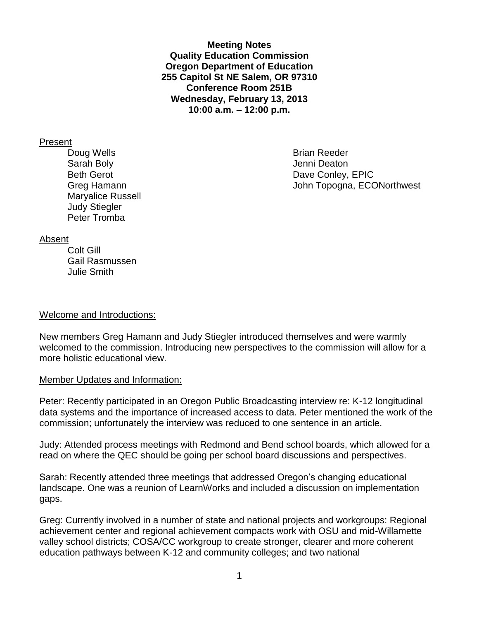**Meeting Notes Quality Education Commission Oregon Department of Education 255 Capitol St NE Salem, OR 97310 Conference Room 251B Wednesday, February 13, 2013 10:00 a.m. – 12:00 p.m.**

### Present

Doug Wells **Brian Reeder Brian Reeder** Sarah Bolv **Grand Bolv Contract Contract Contract Contract Contract Contract Contract Contract Contract Contract Contract Contract Contract Contract Contract Contract Contract Contract Contract Contract Contract Contract** Maryalice Russell Judy Stiegler Peter Tromba

Beth Gerot **Dave Conley, EPIC** Greg Hamann Greg Hamann John Topogna, ECONorthwest

### Absent

Colt Gill Gail Rasmussen Julie Smith

### Welcome and Introductions:

New members Greg Hamann and Judy Stiegler introduced themselves and were warmly welcomed to the commission. Introducing new perspectives to the commission will allow for a more holistic educational view.

### Member Updates and Information:

Peter: Recently participated in an Oregon Public Broadcasting interview re: K-12 longitudinal data systems and the importance of increased access to data. Peter mentioned the work of the commission; unfortunately the interview was reduced to one sentence in an article.

Judy: Attended process meetings with Redmond and Bend school boards, which allowed for a read on where the QEC should be going per school board discussions and perspectives.

Sarah: Recently attended three meetings that addressed Oregon's changing educational landscape. One was a reunion of LearnWorks and included a discussion on implementation gaps.

Greg: Currently involved in a number of state and national projects and workgroups: Regional achievement center and regional achievement compacts work with OSU and mid-Willamette valley school districts; COSA/CC workgroup to create stronger, clearer and more coherent education pathways between K-12 and community colleges; and two national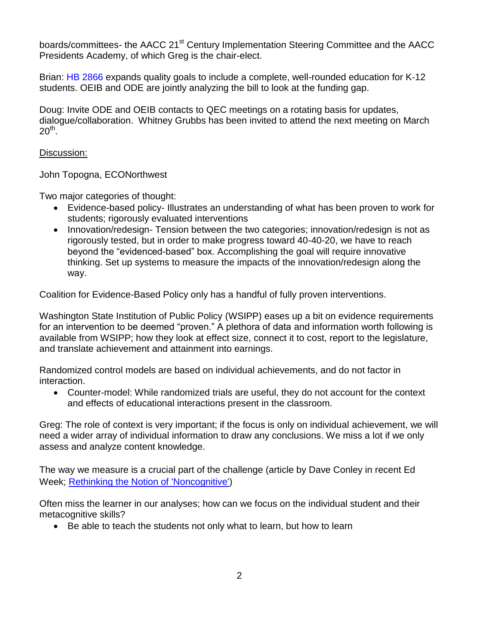boards/committees- the AACC 21<sup>st</sup> Century Implementation Steering Committee and the AACC Presidents Academy, of which Greg is the chair-elect.

Brian: [HB 2866](http://www.leg.state.or.us/13reg/measpdf/hb2800.dir/hb2866.intro.pdf) expands quality goals to include a complete, well-rounded education for K-12 students. OEIB and ODE are jointly analyzing the bill to look at the funding gap.

Doug: Invite ODE and OEIB contacts to QEC meetings on a rotating basis for updates, dialogue/collaboration. Whitney Grubbs has been invited to attend the next meeting on March  $20<sup>th</sup>$ .

### Discussion:

John Topogna, ECONorthwest

Two major categories of thought:

- Evidence-based policy- Illustrates an understanding of what has been proven to work for students; rigorously evaluated interventions
- Innovation/redesign-Tension between the two categories; innovation/redesign is not as rigorously tested, but in order to make progress toward 40-40-20, we have to reach beyond the "evidenced-based" box. Accomplishing the goal will require innovative thinking. Set up systems to measure the impacts of the innovation/redesign along the way.

Coalition for Evidence-Based Policy only has a handful of fully proven interventions.

Washington State Institution of Public Policy (WSIPP) eases up a bit on evidence requirements for an intervention to be deemed "proven." A plethora of data and information worth following is available from WSIPP; how they look at effect size, connect it to cost, report to the legislature, and translate achievement and attainment into earnings.

Randomized control models are based on individual achievements, and do not factor in interaction.

 Counter-model: While randomized trials are useful, they do not account for the context and effects of educational interactions present in the classroom.

Greg: The role of context is very important; if the focus is only on individual achievement, we will need a wider array of individual information to draw any conclusions. We miss a lot if we only assess and analyze content knowledge.

The way we measure is a crucial part of the challenge (article by Dave Conley in recent Ed Week; [Rethinking the Notion of 'Noncognitive'\)](http://www.edweek.org/ew/articles/2013/01/23/18conley.h32.html?tkn=ZOLFEVH%2BjOAxK06gtuLUgGFYUHPFe8gRmxKL&print=1)

Often miss the learner in our analyses; how can we focus on the individual student and their metacognitive skills?

Be able to teach the students not only what to learn, but how to learn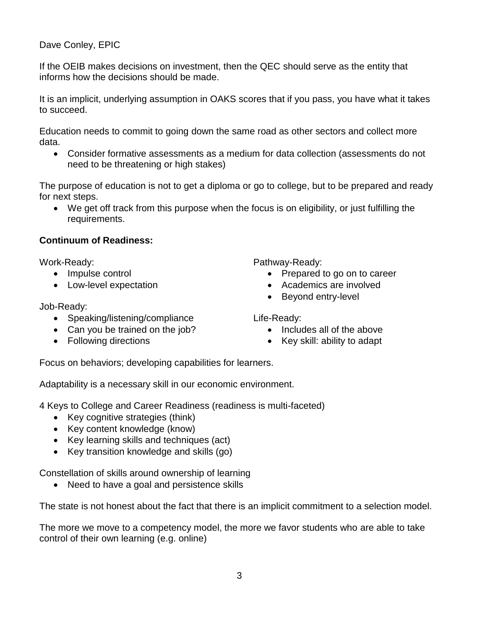# Dave Conley, EPIC

If the OEIB makes decisions on investment, then the QEC should serve as the entity that informs how the decisions should be made.

It is an implicit, underlying assumption in OAKS scores that if you pass, you have what it takes to succeed.

Education needs to commit to going down the same road as other sectors and collect more data.

 Consider formative assessments as a medium for data collection (assessments do not need to be threatening or high stakes)

The purpose of education is not to get a diploma or go to college, but to be prepared and ready for next steps.

 We get off track from this purpose when the focus is on eligibility, or just fulfilling the requirements.

# **Continuum of Readiness:**

Work-Ready:

- Impulse control
- Low-level expectation

Job-Ready:

- Speaking/listening/compliance
- Can you be trained on the job?
- Following directions
- Pathway-Ready:
	- Prepared to go on to career
	- Academics are involved
	- Beyond entry-level

Life-Ready:

- Includes all of the above
- Key skill: ability to adapt

Focus on behaviors; developing capabilities for learners.

Adaptability is a necessary skill in our economic environment.

4 Keys to College and Career Readiness (readiness is multi-faceted)

- Key cognitive strategies (think)
- Key content knowledge (know)
- Key learning skills and techniques (act)
- Key transition knowledge and skills (go)

Constellation of skills around ownership of learning

• Need to have a goal and persistence skills

The state is not honest about the fact that there is an implicit commitment to a selection model.

The more we move to a competency model, the more we favor students who are able to take control of their own learning (e.g. online)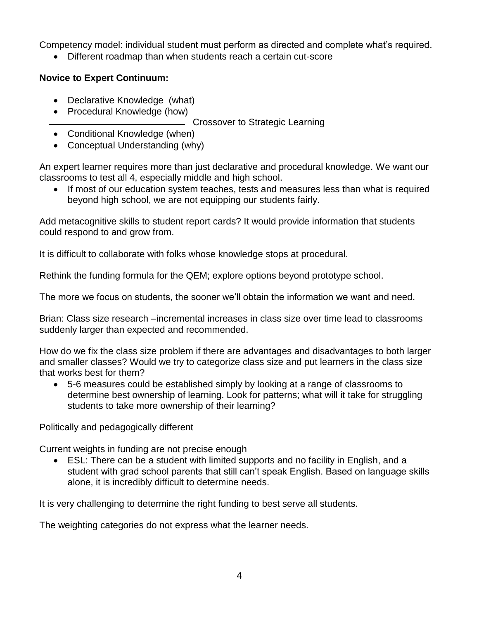Competency model: individual student must perform as directed and complete what's required.

Different roadmap than when students reach a certain cut-score

## **Novice to Expert Continuum:**

- Declarative Knowledge (what)
- Procedural Knowledge (how)

Crossover to Strategic Learning

- Conditional Knowledge (when)
- Conceptual Understanding (why)

An expert learner requires more than just declarative and procedural knowledge. We want our classrooms to test all 4, especially middle and high school.

• If most of our education system teaches, tests and measures less than what is required beyond high school, we are not equipping our students fairly.

Add metacognitive skills to student report cards? It would provide information that students could respond to and grow from.

It is difficult to collaborate with folks whose knowledge stops at procedural.

Rethink the funding formula for the QEM; explore options beyond prototype school.

The more we focus on students, the sooner we'll obtain the information we want and need.

Brian: Class size research –incremental increases in class size over time lead to classrooms suddenly larger than expected and recommended.

How do we fix the class size problem if there are advantages and disadvantages to both larger and smaller classes? Would we try to categorize class size and put learners in the class size that works best for them?

 5-6 measures could be established simply by looking at a range of classrooms to determine best ownership of learning. Look for patterns; what will it take for struggling students to take more ownership of their learning?

Politically and pedagogically different

Current weights in funding are not precise enough

 ESL: There can be a student with limited supports and no facility in English, and a student with grad school parents that still can't speak English. Based on language skills alone, it is incredibly difficult to determine needs.

It is very challenging to determine the right funding to best serve all students.

The weighting categories do not express what the learner needs.